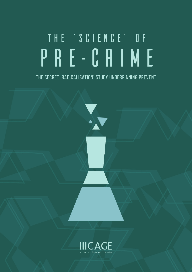# THE 'SCIENCE' OF PRE-CRIME

THE SECRET 'RADICALISATION' STUDY UNDERPINNING PREVENT

X

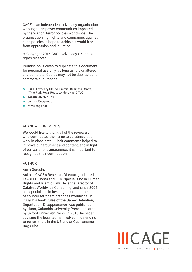CAGE is an independent advocacy organisation working to empower communities impacted by the War on Terror policies worldwide. The organisation highlights and campaigns against such policies in hope to achieve a world free from oppression and injustice.

© Copyright 2016 CAGE Advocacy UK Ltd. All rights reserved.

Permission is given to duplicate this document for personal use only, as long as it is unaltered and complete. Copies may not be duplicated for commercial purposes.

- CAGE Advocacy UK Ltd, Premier Business Centre, 47-49 Park Royal Road, London, NW10 7LQ
- $\leftarrow$  +44 (0) 207 377 6700
- contact@cage.ngo
- www.cage.ngo

#### ACKNOWLEDGEMENTS:

We would like to thank all of the reviewers who contributed their time to scrutinise this work in close detail. Their comments helped to improve our argument and content, and in light of our calls for transparency, it is important to recognise their contribution.

#### AUTHOR:

#### Asim Qureshi:

Asim is CAGE's Research Director, graduated in Law (LLB Hons) and LLM, specialising in Human Rights and Islamic Law. He is the Director of Catalyst Worldwide Consulting, and since 2004 has specialised in investigations into the impact of counter-terrorism practices worldwide. In 2009, his book,Rules of the Game: Detention, Deportation, Disappearance, was published by Hurst, Columbia University Press and later by Oxford University Press. In 2010, he began advising the legal teams involved in defending terrorism trials in the US and at Guantanamo Bay, Cuba.

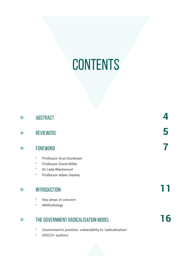# **CONTENTS**

| <b>ABSTRACT</b>                                                                                                              |  |
|------------------------------------------------------------------------------------------------------------------------------|--|
| <b>REVIEWERS</b>                                                                                                             |  |
| <b>FOREWORD</b>                                                                                                              |  |
| Professor Arun Kundnani<br>×<br><b>Professor David Miller</b><br>Þ.<br>Dr Leda Blackwood<br>Þ.<br>Professor Adam Gearey<br>Þ |  |
| <b>INTRODUCTION</b><br>Key areas of concern<br>۲<br>Methodology<br>Þ                                                         |  |
| THE GOVERNMENT RADICALISATION MODEL                                                                                          |  |

- Government's position: vulnerability to 'radicalisation'
- ERG22+ authors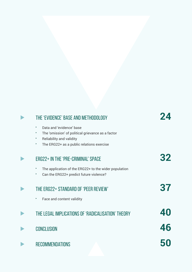| THE 'EVIDENCE' BASE AND METHODOLOGY                                                                                                                                         |    |
|-----------------------------------------------------------------------------------------------------------------------------------------------------------------------------|----|
| Data and 'evidence' base<br>K<br>The 'omission' of political grievance as a factor<br>Þ,<br>Reliability and validity<br>۲<br>The ERG22+ as a public relations exercise<br>۲ |    |
| <b>ERG22+ IN THE 'PRE-CRIMINAL' SPACE</b>                                                                                                                                   | 32 |
| The application of the ERG22+ to the wider population<br>۲<br>Can the ERG22+ predict future violence?<br>۲                                                                  |    |
| THE ERG22+ STANDARD OF 'PEER REVIEW'                                                                                                                                        | 37 |
| Face and content validity<br>۲                                                                                                                                              |    |
| THE LEGAL IMPLICATIONS OF 'RADICALISATION' THEORY                                                                                                                           | 40 |
| <b>CONCLUSION</b>                                                                                                                                                           | 46 |
| <b>RECOMMENDATIONS</b>                                                                                                                                                      |    |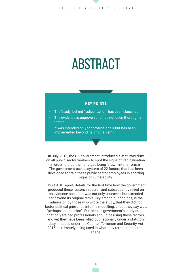# ABSTRACT

#### KEY POINTS

- The 'study' behind 'radicalisation' has been classified.
- The evidence is unproven and has not been thoroughly tested.
- It was intended only for professionals but has been implemented beyond its original remit.

In July 2015, the UK government introduced a statutory duty on all public sector workers to spot the signs of 'radicalisation' in order to stop their charges being 'drawn into terrorism'. The government uses a system of 22 factors that has been developed to train these public sector employees in spotting signs of vulnerability.

This CAGE report, details for the first time how the government produced these factors in secret, and subsequently relied on an evidence base that was not only unproven, but extended far beyond its original remit. Key among our findings, is the admission by those who wrote the study, that they did not factor political grievance into the modelling, a fact they say was, "perhaps an omission". Further, the government's study states that only trained professionals should be using these factors, and yet they have been rolled out nationally under a statutory duty imposed under the Counter-Terrorism and Security Act 2015 – ultimately being used in what they term the pre-crime space.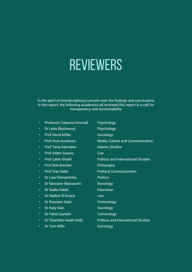# REVIEWERS

In the spirit of interdisciplinary concern over the findings and conclusions in this report, the following academics all reviewed this report in a call for transparency and accountability:

- Professor Catarina Kinnvall
- Dr Leda Blackwood
- Prof David Miller
- Prof Arun Kundnani
- Prof Tariq Ramadan
- Prof Adam Gearey
- Prof Laleh Khalili
- Prof Bob Brecher
- Prof Vian Bakir
- Dr Lisa Stampnitzky
- Dr Narzanin Massoumi
- Dr Sadia Habib
- Dr Nadine El-Enany
- Dr Rizwaan Sabir
- Dr Katy Sian
- Dr Fahid Qureshi
- Dr Charlotte Heath-Kelly

**Psychology** Sociology Media, Culture and Communication

Psychology

- Islamic Studies
- Law
- Politics and International Studies
- Philosophy
- Political Communication
- **Politics**
- **Sociology**
- Education
- Law
- **Criminology**
- Sociology
- **Criminology**
- Politics and International Studies
- Dr Tom Mills
- **Sociology**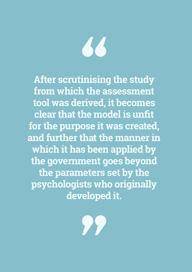# 66

**After scrutinising the study from which the assessment tool was derived, it becomes clear that the model is unfit for the purpose it was created, and further that the manner in which it has been applied by the government goes beyond the parameters set by the psychologists who originally developed it.**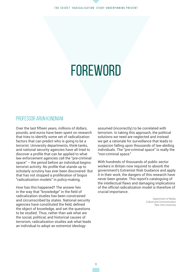# **FOREWORD**

### Professor Arun Kundnani

Over the last fifteen years, millions of dollars, pounds, and euros have been spent on research that tries to identify some set of radicalization factors that can predict who is going to be a terrorist. University departments, think-tanks, and national security agencies have all tried to discover a profile that can be applied to what law enforcement agencies call the "pre-criminal space" – the period before an individual begins terrorist activity. No profile that stands up to scholarly scrutiny has ever been discovered. But that has not stopped a proliferation of bogus "radicalization models" in policy-making.

How has this happened? The answer lies in the way that "knowledge" in the field of radicalization studies has been constrained and circumscribed by states. National security agencies have constituted the field, defined the object of knowledge, and set the questions to be studied. Thus, rather than ask what are the social, political, and historical causes of terrorism, radicalization studies ask what leads an individual to adopt an extremist ideology

assumed (incorrectly) to be correlated with terrorism. In taking this approach, the political solutions we need are neglected and instead we get a rationale for surveillance that leads to suspicion falling upon thousands of law-abiding individuals. The "pre-criminal space" is really the "non-criminal space."

With hundreds of thousands of public sector workers in Britain now required to absorb the government's Extremist Risk Guidance and apply it in their work, the dangers of this research have never been greater. This report's cataloguing of the intellectual flaws and damaging implications of the official radicalization model is therefore of crucial importance.

> *Department of Media, Culture and Communication New York University*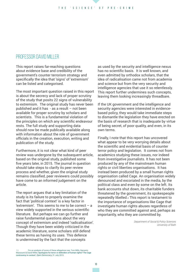### PROFESSOR DAVID MILLER

This report raises far-reaching questions about evidence base and credibility of the government's counter terrorism strategy and specifically the idea that 'signs' of 'extremism' can be listed and categorised.

The most important question raised in this report is about the secrecy and lack of proper scrutiny of the study that posits 22 signs of vulnerability to extremism. The original study has never been published and it has - as a result – not been available for proper scrutiny by scholars and scientists. This is a fundamental violation of the principles on which any scientific endeavour rests. The full study and supporting data should now be made publically available along with information about the role of government officials in the creation, execution, writing and publication of the study.

Furthermore, it is not clear what kind of peer review was undergone by the subsequent article, based on the original study, published some five years later, in 2015. The journal in question should take steps to clarify its peer review process and whether, given the original study remains classified, peer reviewers could possibly have come to an informed judgement on the article.

The report argues that a key limitation of the study is its failure to properly examine the fact that 'political context' is a key factor in 'extremism'. This seems to me to be correct  $-$  a view widely supported in the serious scientific literature. But perhaps we can go further and raise fundamental questions about the very concept of extremism and indeed 'radicalisation'. Though they have been widely criticized in the academic literature, some scholars still defend these terms as having its uses. This defence is undermined by the fact that the concepts

as used by the security and intelligence nexus has no scientific basis. It is well known, and even admitted by orthodox scholars, that the idea of radicalisation came not from academia and science but from the very security and intelligence agencies that use it so relentlessly. This report further undermines such concepts, leaving them looking increasingly threadbare.

If the UK government and the intelligence and security agencies were interested in evidencebased policy, they would take immediate steps to dismantle the legislation they have erected on the basis of research that is inadequate by virtue of being secret, of poor quality, and even, in its own terms.

Finally, I note that this report has uncovered what appear to be very worrying details about the scientific and evidential basis of counter terror policy and legislation. It comes not from academics studying these issues, nor indeed from investigative journalists. It has not been produced by any of the mainstream human rights or civil liberties organisations. It has instead been produced by a small human rights organisation called Cage. An organisation widely denounced and excoriated in the media, by the political class and even by some on the left. Its bank accounts shut down, its charitable funders threatened by the government, its spokespeople repeatedly libelled.<sup>1</sup> This report is testament to the importance of organisations like Cage that investigate human rights abuses regardless of who they are committed against and, perhaps as importantly, who they are committed by.

> *Department of Social & Policy Sciences University of Bath*

 <sup>1 |</sup> For an analysis of some of these allegations see: Tom Mills, Narzanin Massoumi & David Miller, 'Apologists for terror or defenders of human rights? The Cage controversy in context', *Open Democracy,* 31 July 2015.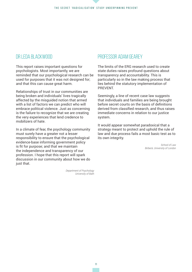### Dr Leda Blackwood

This report raises important questions for psychologists. Most importantly, we are reminded that our psychological research can be used for purposes that it was not designed for; and that this can cause great harm.

Relationships of trust in our communities are being broken and individuals' lives tragically affected by the misguided notion that armed with a list of factors we can predict who will embrace political violence. Just as concerning is the failure to recognize that we are creating the very experiences that lend credence to mobilizers of hate.

In a climate of fear, the psychology community must surely have a greater not a lesser responsibility to ensure that the psychological evidence-base informing government policy is fit for purpose; and that we maintain the independence and transparency of our profession. I hope that this report will spark discussion in our community about how we do just that.

> *Department of Psychology University of Bath*

### Professor Adam Gearey

The limits of the ERG research used to create state duties raises profound questions about transparency and accountability. This is particularly so in the law making process that lies behind the statutory implementation of **PREVENT** 

Seemingly, a line of recent case law suggests that individuals and families are being brought before secret courts on the basis of definitions derived from classified research, and thus raises immediate concerns in relation to our justice system.

It would appear somewhat paradoxical that a strategy meant to protect and uphold the rule of law and due process fails a most basic test as to its own integrity.

> *School of Law Birbeck, University of London*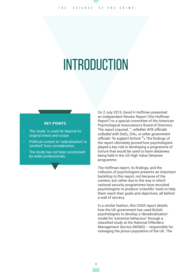# INTRODUCTION

#### KEY POINTS

- The 'study' is used far beyond its original intent and scope.
- Political context to 'radicalisation' is 'omitted' from consideration.
- The study has not been scrutinised by wider professionals.

On 2 July 2015, David H Hoffman presented an Independent Review Report ('the Hoffman Report') to a special committee of the American Psychological Association's Board of Directors. The report inquired, *"…whether APA officials colluded with DoD*�*, CIA*�*, or other government officials "to support torture.""*� The findings of the report ultimately proved how psychologists played a key role in developing a programme of torture that would be used to harm detainees being held in the US High Value Detainee programme.

The Hoffman report, its findings, and the collusion of psychologists presents an important backdrop to this report, not because of the content, but rather due to the way in which national security programmes have recruited psychologists to produce 'scientific' tools to help them reach their goals and objectives, all behind a wall of secrecy.

In a similar fashion, this CAGE report details how the UK government has used British psychologists to develop a 'deradicalisation' model for 'extremist behaviour' through a classified study at the National Offenders Management Service (NOMS) – responsible for managing the prison population of the UK. The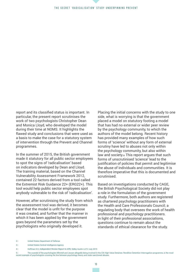report and its classified status is important. In particular, the present report scrutinises the work of two psychologists Christopher Dean and Monica Lloyd, who developed the model during their time at NOMS. It highlights the flawed study and conclusions that were used as a basis to make the case for a statutory system of intervention through the Prevent and Channel programmes.

In the summer of 2015, the British government made it statutory for all public sector employees to spot the signs of 'radicalisation' based on indicators developed by Dean and Lloyd. The training material, based on the Channel Vulnerability Assessment Framework 2012, contained 22 factors derived from a tool called the Extremist Risk Guidance 22+ (ERG22+). This tool would help public sector employees spot anybody vulnerable to the risk of 'radicalisation'.

However, after scrutinising the study from which the assessment tool was derived, it becomes clear that the model is unfit for the purpose it was created, and further that the manner in which it has been applied by the government goes beyond the parameters set by the psychologists who originally developed it.

Placing the initial concerns with the study to one side, what is worrying is that the government placed a model on statutory footing a model that has had no external or wider peer review by the psychology community, to which the authors of the model belong. Recent history has provided many examples of how such forms of 'science' without any form of external scrutiny have led to abuses not only within the psychology community, but also within law and society.<sub>5</sub> This report argues that such forms of unscrutinised 'science' lead to the justification of policies that permit and legitimise the abuse of individuals and communities. It is therefore imperative that this is documented and scrutinised.

Based on investigations conducted by CAGE, the British Psychological Society did not play a role in the formulation of the government study. Furthermore, both authors are registered as chartered psychology practitioners with the Health and Care Professionals Council; a regulating body that oversees the work of health professional and psychology practitioners. In light of their professional associations, questions continue to remain about the standards of ethical clearance for the study.

<sup>2 |</sup> United States Department of Defense

<sup>3 |</sup> United States Central Intelligence Agency

<sup>4 |</sup> Hoffman D.H, *Independent Review Report to APA,* Sidley Austin LLP, 2 July 2015

<sup>5 |</sup> The scandal of the psychologists Mitchell and Jessen allegedly being involved in the CIA High Value Detainee: Rendition Detention Interrogation programme, is the most recent example of psychologists crossing the line between psychology theory and state sanctioned abuses.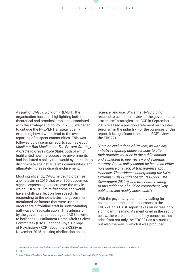As part of CAGE's work on PREVENT, the organisation has been highlighting both the theoretical and practical problems associated with the strategy and policy. In 2008, we began to critique the PREVENT strategy openly, explaining how it would lead to the overreporting of suspect communities. This was followed up by seminal reports such as *Good Muslim – Bad Muslim* and *The Prevent Strategy: A Cradle to Grave Police State,* both of which highlighted how the successive governments had instituted a policy that would systematically discriminate against Muslims communities, and ultimately increase disenfranchisement.

Most significantly, CAGE helped to organise a joint letter in 2015 that over 300 academics signed, expressing concern over the way in which PREVENT limits freedoms and would have a chilling effect on free speech. In responding to the joint letter, the government mentioned 22 factors that were used in order to train frontline staff in understanding pathways of 'radicalisation'. This admission by the government encouraged CAGE to write to both the UK Parliament Home Affairs Select Committee<sub>6</sub> (HASC) and the Royal College of Psychiatry<sub>7</sub> (RCP) about the ERG22+ in November 2015, seeking clarification on its

'science' and use. While the HASC did not respond to us in their review of the government's 'extremism' strategies, the RCP in September 2016 released a position statement on counterterrorism in the industry. For the purposes of this report, it is significant to note the RCP's view on the ERG22+:

*"Data on evaluations of Prevent, as with any initiative requiring public services to alter their practice, must be in the public domain and subjected to peer review and scientific scrutiny. Public policy cannot be based on either no evidence or a lack of transparency about evidence. The evidence underpinning the UK's Extremism Risk Guidance 22+ (ERG22+; HM Government 2011c), and other data relating to this guidance, should be comprehensively published and readily accessible."*�

With the psychiatry community calling for an open and transparent approach to the ERG22+, this CAGE report takes on increasingly significant meaning. As mentioned in the section below, there are a number of key concerns that arise from not only the ERG22+ as a structure, but also the way in which it was produced.

7 | Ibid

<sup>6 |</sup> Verkaik R, *Government deradicalisation plan will brand Muslims with beards as terrorists, say academics,* The Independent, 10 July 2015

<sup>8 |</sup> Royal College of Psychiatry, *Counter-terrorism and psychiatry,* Position Statement PS04/16, September 2016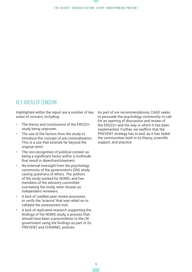#### The secret 'radicalisation' study underpinning PREVENT

### Key areas of concern

Highlighted within the report are a number of key areas of concern, including:

- The theory and conclusions of the ERG22+ study being unproven.
- The use of the factors from the study to introduce the concept of pre-criminalisation. This is a use that extends far beyond the original remit.
- The non-recognition of political context as being a significant factor within a multitude that result in disenfranchisement.
- No external oversight from the psychology community of the government's ERG study raising questions of ethics. The authors of the study worked for NOMS, and two members of the advisory committee overseeing the study, were chosen as independent reviewers.
- A lack of credible peer review processes to verify the 'science' that was relied on to validate the assessment tool.
- A lack of replicated research supporting the findings of the NOMS study, a process that should have been a precondition to the UK government using the findings as part of its PREVENT and CHANNEL policies.

As part of our recommendations, CAGE seeks to persuade the psychology community to call for an opening of discussion and review of the ERG22+ and the way in which it has been implemented. Further, we reaffirm that the PREVENT strategy has to end, as it has failed the communities both in its theory, scientific support, and practice.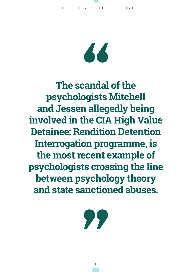$\overline{\mathbf{A}}$ 

**The scandal of the psychologists Mitchell and Jessen allegedly being involved in the CIA High Value Detainee: Rendition Detention Interrogation programme, is the most recent example of psychologists crossing the line between psychology theory and state sanctioned abuses.**

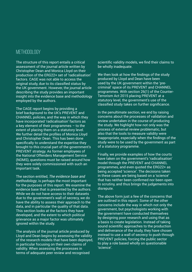## METHODOLOGY

The structure of this report entails a critical assessment of the journal article written by Christopher Dean and Monica Lloyd on their production of the ERG22+ set of 'radicalisation' factors. CAGE was not able to access the original study, due to its classified status by the UK government. However, the journal article describing the study provides an important insight into the evidence base and methodology employed by the authors.

The CAGE report begins by providing a brief background to the UK's PREVENT and CHANNEL policies, and the way in which they have incorporated 'radicalisation' factors as a key element of their programmes – to the extent of placing them on a statutory level. We further detail the profiles of Monica Lloyd and Christopher Dean. This has been done specifically to understand the expertise they brought to this crucial part of the government's PREVENT strategy. As former employees of the National Offenders Management Service (NOMS), questions must be raised around how they were solely commissioned with such an important task.

The section entitled, *The evidence base and methodology*, is perhaps the most important for the purposes of this report. We examine the evidence base that is presented by the authors. While we do not have access to their datasets due to the government's wall of secrecy, we do have the ability to assess their approach to the data, and in particular the quality of that data. This section looks at the factors they have developed, and the extent to which political grievance as a major factor was ultimately ignored within the study.

The analysis of the journal article produced by Lloyd and Dean begins by assessing the validity of the research models that have been deployed, in particular focusing on their own claims of validity. When assessing the processes in terms of adequate peer review and recognised

scientific validity models, we find their claims to be wholly inadequate.

We then look at how the findings of the study produced by Lloyd and Dean have been used by the UK government within the 'precriminal' space of its PREVENT and CHANNEL programmes. With section 26(1) of the Counter-Terrorism Act 2015 placing PREVENT at a statutory level, the government's use of the classified study takes on further significance.

In the penultimate section, we end by raising concerns about the processes of validation and review undertaken in the course of producing the study. We highlight how not only was the process of external review problematic, but also that the tools to measure validity were inappropriate, especially when the findings of the study were to be used by the government as part of a statutory programme.

Finally, we provide examples of how the courts have taken on the government's 'radicalisation' model through the PREVENT and CHANNEL programmes, and even quoted the ERG22+ as being accepted 'science'. The decisions taken in these cases are being based on a 'science' that has neither been confirmed nor been open to scrutiny, and thus brings the judgements into disrepute.

The above form just a few of the concerns that are outlined in this report. Some of the other concerns include the way in which not only the government, but psychologists working with the government have conducted themselves by designing poor research and using that as a basis to create legislation. Instead of taking sound scientific approaches to the production and deliverance of the study, they have chosen instead to use a wall of secrecy to push through PREVENT policies, forcing the public sector to play a role based wholly on questionable 'science'.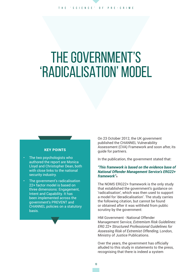# THE GOVERNMENT'S 'RADICALISATION' MODEL

#### KEY POINTS

- The two psychologists who authored the report are Monica Lloyd and Christopher Dean, both with close links to the national security industry.
- The government's radicalisation 22+ factor model is based on three dimensions: Engagement, Intent and Capability. It has been implemented across the government's PREVENT and CHANNEL policies on a statutory basis.

On 23 October 2012, the UK government published the CHANNEL Vulnerability Assessment (CVA) Framework and soon after, its guide for partners.

In the publication, the government stated that:

#### *"This framework is based on the evidence base of National Offender Management Service's ERG22+ framework"*�

The NOMS ERG22+ framework is the only study that established the government's guidance on 'radicalisation', which was then used to support a model for 'deradicalisation'. The study carries the following citation, but cannot be found or obtained after it was withheld from public scrutiny by the government:

HM Government - National Offender Management Service, *Extremism Risk Guidelines: ERG 22+ Structured Professional Guidelines for Assessing Risk of Extremist Offending*, London, Ministry of Justice Publications.

Over the years, the government has officially alluded to this study in statements to the press, recognising that there is indeed a system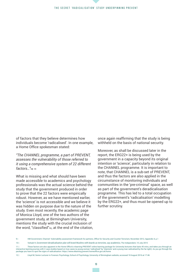of factors that they believe determines how individuals become 'radicalised'. In one example, a Home Office spokesman stated:

*"The CHANNEL programme, a part of PREVENT, assesses the vulnerability of those referred to it using a comprehensive system of 22 different factors…"*�� ��

What is missing and what should have been made accessible to academics and psychology professionals was the actual science behind the study that the government produced in order to prove that the 22 factors were empirically robust. However, as we have mentioned earlier, the 'science' is not accessible and we believe it was hidden on purpose due to the nature of the study. Even most recently, the academic page of Monica Lloyd, one of the two authors of the government study, at Birmingham University, mentions the study with the crucial inclusion of the word, "classified"<sup>12</sup>, at the end of the citation,

once again reaffirming that the study is being withheld on the basis of national security.

Moreover, as shall be discussed later in the report, the ERG22+ is being used by the government in a capacity beyond its original intention or 'science', particularly in relation to the CHANNEL programme. It is important to note, that CHANNEL is a sub-set of PREVENT, and thus the factors are also applied in the circumstance of monitoring individuals and communities in the 'pre-criminal' space, as well as part of the government's deradicalisation programme. This has led to a total occupation of the government's 'radicalisation' modelling by the ERG22+, and thus must be opened up to further scrutiny.

10 | Verkaik R, *Government deradicalisation plan will brand Muslims with beards as terrorists, say academics,* The Independent, 10 July 2015

<sup>9 |</sup> HM Government, Channel: Vulernability assessment framework for partners, Office for Security and Counter-Terrorism, November 2012, Appendix 4, p.1

<sup>11 |</sup> These factors are also apparent in the Home Office's e-learning PREVENT online learning package for University lecturers that lasts 45 mins, and takes you through an interactive learning journey with 2 case studies based on true cases (a young woman 'radicalised' by 'Islamists' and a young man radicalised by the far-right). As you go through the package you have to spot the signs of radicalisation: https://www.elearning.prevent.homeoffice.gov.uk/home

<sup>12 |</sup> Lloyd M, Senior Lecturer in Forensic Psychology, School of Psychology, University of Birmingham website, accessed 18 August 2016 at 17:46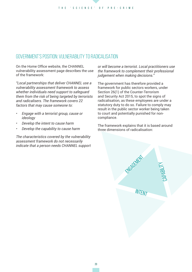# GOVERNMENT'S POSITION: VULNERABILITY TO RADICALISATION

On the Home Office website, the CHANNEL vulnerability assessment page describes the use of the framework:

*"Local partnerships that deliver CHANNEL use a vulnerability assessment framework to assess whether individuals need support to safeguard them from the risk of being targeted by terrorists and radicalisers. The framework covers 22 factors that may cause someone to:* 

- *• Engage with a terrorist group, cause or ideology*
- *• Develop the intent to cause harm*
- *• Develop the capability to cause harm*

*The characteristics covered by the vulnerability assessment framework do not necessarily indicate that a person needs CHANNEL support* 

*or will become a terrorist. Local practitioners use the framework to complement their professional judgement when making decisions."* 

The government has therefore provided a framework for public sectors workers, under Section 26(1) of the Counter-Terrorism and Security Act 2015, to spot the signs of radicalisation, as these employees are under a statutory duty to do so. Failure to comply may result in the public sector worker being taken to court and potentially punished for noncompliance.

The framework explains that it is based around three dimensions of radicalisation:

Engelskriver

**INTENT** 

Capability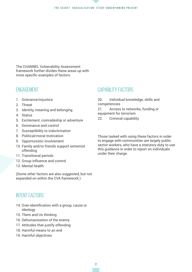The CHANNEL Vulnerability Assessment framework further divides these areas up with more specific examples of factors.

# **ENGAGEMENT**

- 1. Grievance/injustice
- 2. Threat
- 3. Identity, meaning and belonging
- 4. Status
- 5. Excitement, comradeship or adventure
- 6. Dominance and control
- 7. Susceptibility to indoctrination
- 8. Political/moral motivation
- 9. Opportunistic involvement
- 10. Family and/or friends support extremist offending
- 11. Transitional periods
- 12. Group influence and control
- 13. Mental health

(Some other factors are also suggested, but not expanded on within the CVA framework.)

# Intent factors

- 14. Over-identification with a group, cause or ideology
- 15. Them and Us thinking
- 16. Dehumanisation of the enemy
- 17. Attitudes that justify offending
- 18. Harmful means to an end
- 19. Harmful objectives

### Capability factors

20. Individual knowledge, skills and competencies

21. Access to networks, funding or equipment for terrorism

22. Criminal capability

Those tasked with using these factors in order to engage with communities are largely public sector workers, who have a statutory duty to use this guidance in order to report on individuals under their charge.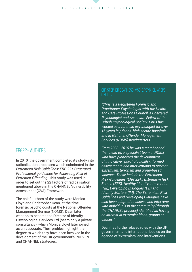### ERG22+ authors

In 2010, the government completed its study into radicalisation processes which culminated in the *Extremism Risk Guidelines: ERG 22+ Structured Professional guidelines for Assessing Risk of Extremist Offending*. This study was used in order to set out the 22 factors of radicalisation mentioned above in the CHANNEL Vulnerability Assessment (CVA) Framework.

The chief authors of the study were Monica Lloyd and Christopher Dean, at the time forensic psychologists at the National Offender Management Service (NOMS). Dean later went on to become the Director of Identify Psychological Services Ltd (seemingly a private consultancy), which Monica Lloyd later joined as an associate. Their profiles highlight the degree to which they have been involved in the development of the UK government's PREVENT and CHANNEL strategies.

CHRISTOPHER DEAN (BSC, MSC, C.PSYCHOL. AFBPS,  $C.SCI1_{13}$ 

*"Chris is a Registered Forensic and Practitioner Psychologist with the Health and Care Professions Council, a Chartered Psychologist and Associate Fellow of the British Psychological Society. Chris has worked as a forensic psychologist for over 15 years in prisons, high secure hospitals and in National Offender Management Services (NOMS) headquarters.*

*From 2008 - 2015 he was a member and then head of, a specialist team in NOMS who have pioneered the development of innovative, psychologically-informed assessments and interventions to prevent extremism, terrorism and group-based violence. These include the Extremism Risk Guidelines (ERG 22+), Extremism Risk Screen (ERS), Healthy Identity Intervention (HII), Developing Dialogues (DD) and Identity Matters (IM). The Extremism Risk Guidelines and Developing Dialogues have also been adapted to assess and intervene with individuals in the community (through the CHANNEL process) identified as having an interest in extremist ideas, groups or causes."*

Dean has further played roles with the UK government and international bodies on the agenda of 'extremism' and interventions.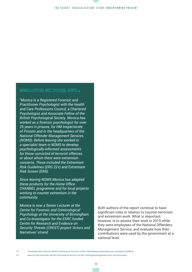#### The secret 'radicalisation' study underpinning PREVENT

#### MONICA LLOYD (BA, MSC, C.PSYCHOL, AFBPS)  $\overline{A}$

*"Monica is a Registered Forensic and Practitioner Psychologist with the Health and Care Professions Council, a Chartered Psychologist and Associate Fellow of the British Psychological Society. Monica has worked as a forensic psychologist for over 25 years in prisons, for HM Inspectorate of Prisons and in the headquarters of the National Offender Management Services (NOMS). Before leaving she worked in a specialist team in NOMS to develop psychologically-informed assessments for those convicted of terrorist offences or about whom there were extremism concerns. These included the Extremism Risk Guidelines (ERG 22+) and Extremism Risk Screen (ERS).*

*Since leaving NOMS Monica has adapted these products for the Home Office CHANNEL programme and for local projects working to counter extremism in the community.* 

*Monica is now a Senior Lecturer at the Centre for Forensic and Criminological Psychology at the University of Birmingham and Co-Investigator for the ESRC funded Centre for Research and Evidence on Security Threats (CREST) project 'Actors and Narratives' strand.*

Both authors of the report continue to have significant roles in relation to counter-terrorism and extremism work. What is important, however, is to assess their work in 2010 while they were employees of the National Offenders Management Service, and evaluate how their contributions were used by the government at a national level.

<sup>14 |</sup> Monica Lloyd, Associate, Identify Psychological Services Ltd http://identifypsychologicalservices.com/associates/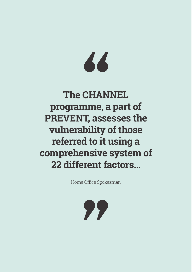# 66

# **The CHANNEL programme, a part of PREVENT, assesses the vulnerability of those referred to it using a comprehensive system of 22 different factors…**

Home Office Spokesman

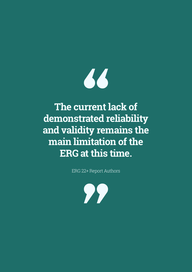

# **The current lack of demonstrated reliability and validity remains the main limitation of the ERG at this time.**

ERG 22+ Report Authors

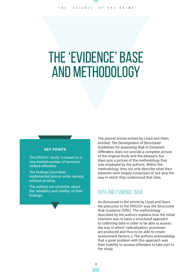# The 'evidence' base and methodology

#### KEY POINTS

- The ERG22+ 'study' is based on a very limited number of terrorism related offenders.
- The findings have been implemented across wider society without scrutiny.
- The authors are uncertain about the 'reliability and validity' of their findings.

The journal article written by Lloyd and Dean, entitled, *The Development of Structured Guidelines for Assessing Risk in Extremist Offenders*, does not provide a complete picture of the original study and the datasets, but does give a picture of the methodology that was employed by the authors. Within the methodology, they not only describe what their datasets were largely comprised of, but also the way in which they understood that data.

### Data and 'evidence' base

As discussed in the article by Lloyd and Dean, the precursor to the ERG22+ was the Structured Risk Guidance (SRG). The methodology described by the authors explains how the initial intention was to have a structured approach to collecting data in order to be able to assess the way in which 'radicalisation' processes are produced and thus to be able to create assessment factors.15 The authors acknowledge that a great problem with this approach was their inability to access offenders to take part in the study: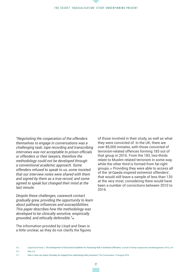*"Negotiating the cooperation of the offenders themselves to engage in conversations was a challenging task; tape recording and transcribing interviews was not acceptable to prison officials or offenders or their lawyers, therefore the methodology could not be developed through a conventional academic approach. Some offenders refused to speak to us, some insisted that our interview notes were shared with them and signed by them as a true record, and some agreed to speak but changed their mind at the last minute.* 

*Despite these challenges, casework contact gradually grew, providing the opportunity to learn about pathway influences and susceptibilities. This paper describes how the methodology was developed to be clinically sensitive, empirically grounded, and ethically defensible."*��

The information provided by Lloyd and Dean is a little unclear, as they do not clarify the figures

of those involved in their study, as well as what they were convicted of. In the UK, there are over 85,000 inmates, with those convicted of terrorism-related offences forming 183 out of that group in 2016. From the 183, two-thirds relate to Muslim related terrorism in some way, while the other third is formed from far-right groups.�� Providing they were able to access all of the 'al-Qaeda inspired extremist offenders', that would still leave a sample of less than 120 at the very most, considering there would have been a number of convictions between 2010 to 2016.

16 | Ibid, p.41

<sup>15 |</sup> Lloyd M and Dean C, *The Development of Structured Guidelines for Assessing Risk in Extremist Offenders,* Journal of Threat Assessment and Management, 2015, p.41

<sup>17 |</sup> Silke A, *How can Anjem Choudary be stopped from radicalising other prisoners?*, The Conversation, 19 August 2016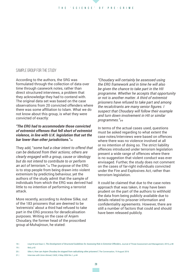#### Sample group for the study

According to the authors, the SRG was formulated through the collection of data over time through casework notes, rather than direct structured interviews, a problem that they acknowledge they had to contend with. The original data set was based on the case observations from 20 convicted offenders where there was some affiliation to Islam. What we do not know about this group, is what they were convicted of exactly:

#### *"The ERG had to accommodate those convicted of extremist offenses that fell short of extremist violence, in line with U.K. legislation that set the bar lower than other jurisdictions."*��

They add, "*some had a clear intent to offend that can be deduced from their actions; others are clearly engaged with a group, cause or ideology but do not intend to contribute to or perform*  an act of terrorism."<sup>19</sup> The purpose of the ERG is to stop people from being drawn into violent extremism by predicting behaviour, yet the authors of the study admit that the sample of individuals from which the ERG was derived had little to no intention of performing a terrorist attack.

More recently, according to Andrew Silke, out of the 183 prisoners that are deemed to be 'extremists' about a third had refused to take part in the ERG process for deradicalisation purposes. Writing on the case of Anjem Choudary, the former head of the proscribed group al-Muhajiroun, he stated:

*"Choudary will certainly be assessed using the ERG framework and in time he will also be given the chance to take part in the HII programme. Whether he accepts that opportunity or not is another matter. A third of extremist prisoners have refused to take part and among the recalcitrants are many senior figures. I suspect that Choudary will follow their example and turn down involvement in HII or similar programmes."*��

In terms of the actual cases used, questions must be asked regarding to what extent the case notes/interviews were based on offences where there was no violence involved at all or no intention of doing so. The strict liability offences introduced under terrorism legislation present a wide range of offences where there is no suggestion that violent conduct was ever envisaged. Further, the study does not comment on the cases of far-right individuals convicted under the Fire and Explosives Act, rather than terrorism legislation.

It could be claimed that due to the case notes approach that was taken, it may have been prudent on the part of the authors to withhold the data from being publicly available due to details related to prisoner information and confidentiality agreements. However, there are still a number of factors that could and should have been released publicly.

- 
- 20 | Silke A, *How can Anjem Choudary be stopped from radicalising other prisoners?*, The Conversation, 19 August 2016
- 21 | Interview with Umm Ahmed, CAGE, 4 May 2004 No.1, p.44

<sup>18 |</sup> Lloyd M and Dean C, *The Development of Structured Guidelines for Assessing Risk in Extremist Offenders*, Journal of Threat Assessment and Management, 2015, p.48 19 | Ibid. p.42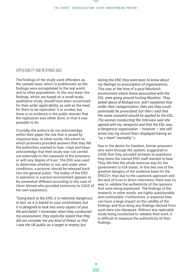#### Applicability and response bias

The findings of the study used offenders as the sample base, which is problematic as the findings were extrapolated to the real world and to other populations. At the very least, the findings, which are based on a small-scale, qualitative study, should have been scrutinised for their wider applicability, as well as the need for them to be replicated. It is unclear, but there is no evidence in the public domain that the replication was either done, or that it was possible to do.

Crucially, the authors do not acknowledge within their paper the risk that is posed by response bias. In other words, the extent to which prisoners provided answers that they felt the authorities wanted to hear. Lloyd and Dean acknowledge that their study was not carried out externally to the casework of the prisoners or with any degree of trust. The ERG was used to determine whether or not, and under what conditions, a prisoner should be released back into the general public. The reality of the ERG in operation in a prison environment appears to be somewhat different according to the case of Umm Ahmed who provided testimony to CAGE of her own experience:

*"Going back to the ERG, it is relatively dangerous in fact, as it is based on your involvement, but it is designed to look into every aspect of your life and belief. I remember when they conducted my assessment, they explicitly stated that they did not consider me any kind of threat, or that I saw the UK public as a target or enemy, but* 

*during the ERG they were keen to know about my feelings on proscription of organisations. This was at the time of a post-Woolwich environment where those associated with the EDL were going around hurting Muslims. They asked about al-Muhajiroon, and I explained that under their categorisation, then yes they could potentially be proscribed, but then I said that the same standard should be applied to the EDL. The woman conducting the interview said she agreed with my viewpoint and that the EDL was a dangerous organisation – however – she still wrote into my record that I displayed having an "us v them" mentality."*��

Due to the desire for freedom, former prisoners who went through the system, suggested to CAGE that they provided answers to questions they knew the trained ERG staff wanted to hear. They felt that the whole exercise was for the government to tick boxes. In this lies one of the greatest dangers of the evidence base for the ERG22+, that due to the casework approach and the lack of trust in direct interviews, there was no way to validate the authenticity of the opinions that were being expressed. The findings of the research, in other words, are highly questionable and contestable. Furthermore, a response bias can have a large impact on the validity of the findings and thus bring any findings derived from such data into disrepute. Without any replicable study being conducted to validate their work, it is difficult to measure the authenticity of their findings.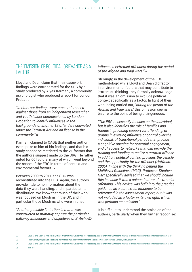### The 'omission' of political grievance as a factor

Lloyd and Dean claim that their casework findings were corroborated for the SRG by a study produced by Alyas Karmani, a community psychologist who produced a report for London Probation:

*"In time, our findings were cross-referenced against those from an independent researcher and youth leader commissioned by London Probation to identify influences in the backgrounds of another 12 offenders convicted under the Terrorist Act and on license in the community."*��

Karmani claimed to CAGE that neither author ever spoke to him of his findings, and that his study cannot be restricted to the 21 factors that the authors suggest made up the SRG. He rather opted for 66 factors, many of which went beyond the scope of the ERG in terms of context and environmental factors 23

Between 2009 to 2011, the SRG was reconstituted into the ERG. Again, the authors provide little to no information about the data they were handling, and in particular its distribution. We know that much of their work was focused on Muslims in the UK, and in particular those Muslims who were in prison:

*"Another possible limitation is that it was constructed to primarily capture the particular pathway influences and objectives of British AQ-*

#### *influenced extremist offenders during the period of the Afghan and Iraqi wars."*��

Strikingly, in the development of the ERG methodology, while Lloyd and Dean did factor in environmental factors that may contribute to 'extremist' thinking, they formally acknowledge that it was an omission to exclude political context specifically as a factor. In light of their work being carried out, "*during the period of the Afghan and Iraqi wars*," this omission seems bizarre to the point of being disingenuous:

*"The ERG necessarily focuses on the individual, but it also identifies the role of families and friends in providing support for offending, of groups in exerting influence or control over the individual, of transitional periods that provide a cognitive opening for potential engagement, and of access to networks that can provide the training and funding to realize a terrorist offense. In addition, political context provides the vehicle and the opportunity for the offender (Hoffman, 2006). In line with the thinking behind the Multilevel Guidelines (MLG), Professor Stephen Hart specifically advised that we should include this because it was a unique feature of extremist offending. This advice was built into the practice guidance as a contextual influence to be referenced in the assessment report, but it was not included as a factor in its own right, which was perhaps an omission."*

It is difficult to understand the omission of the authors, particularly when they further recognise:

25 | Ibid, p.44

<sup>22 |</sup> Lloyd M and Dean C, *The Development of Structured Guidelines for Assessing Risk in Extremist Offenders,* Journal of Threat Assessment and Management, 2015, p.44

<sup>23 |</sup> The Diversity Project Ltd, *Reducing Influences that Radicalise Prisoners,* National Probation Service, London, February 2009

<sup>24 |</sup> Lloyd M and Dean C, *The Development of Structured Guidelines for Assessing Risk in Extremist Offenders,* Journal of Threat Assessment and Management, 2015, p.50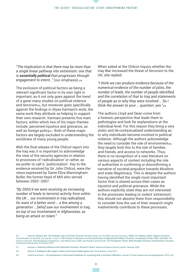*"The implication is that there may be more than a single linear pathway into extremism: one that is essentially political that progresses through*  engagement to intent..." (our emphasis).<sub>25</sub>

The exclusion of political factors as being a relevant significant factor in its own right is important, as it not only goes against the trend of a great many studies on political violence and terrorism<sub>26</sub>, but moreover goes specifically against the findings in Alyas Karmani's work, the same work they attribute as helping to support their own research. Karmani presents five main factors, within which two of his major themes include: perceived injustice and grievance, as well as foreign policy<sub>27</sub>. Both of these major factors are largely excluded in understanding the worldview of many young people.

With the final release of the Chilcot report into the Iraq war, it is important to acknowledge the view of the security agencies in relation to processes of 'radicalisation' or rather, as we prefer to call it, 'politicisation'. Key to the evidence received by Sir John Chilcot, were the views expressed by Dame Eliza Manningham-Buller, the former head of MI5 who served between 2002–2007:

*"By 2003/4 we were receiving an increasing number of leads to terrorist activity from within the UK … our involvement in Iraq radicalised, for want of a better word … a few among a generation … [who] saw our involvement in Iraq, on top of our involvement in Afghanistan, as being an attack on Islam."*

When asked at the Chilcot Inquiry whether the Iraq War increased the threat of terrorism to the UK, she replied:

*"I think we can produce evidence because of the numerical evidence of the number of plots, the number of leads, the number of people identified, and the correlation of that to Iraq and statements of people as to why they were involved … So I think the answer to your ... question: yes.*"28

The authors Lloyd and Dean come from a forensic perspective that leads them to pathologise and look for explanations at the individual level. For this reason they bring a very static and de-contextualised understanding as to why individuals become involved in political violence. Although the authors acknowledge the need to consider the role of environment<sub>29</sub>. they largely limit this to the role of families and friends, and access to networks. Thus, there is no recognition of a vast literature on various aspects of context including the role of authorities in confirming or disconfirming a narrative of societal prejudice towards Muslims and state illegitimacy. This is despite the authors having identified the single most important factor that is shared across their cases as injustice and political grievance. While the authors explicitly state they are not interested in the processes leading to violent 'extremism', this should not absolve them from responsibility to consider how the use of their research might inadvertently contribute to these processes.

27 | Karmani A, *Reducing Influences that Radicalise Prisoners: Research Project*, National Probation Service London, February 2009

<sup>26 |</sup> Pape RA, *Dying to Win: The Strategic Logic of Suicide Terrorism,* Random House, 25 July 2006; see also: Gunning J, *What's so 'religious' about 'religious terrorism'*, Critical Studies on Terrorism, 26 July 2011; Ross JI, *The Primacy of Grievance as a Structural Cause of Oppositional Political Terrorism: Comparing Al-Fatah, FARC, and PIRA*, The Faces of Terrorism: Multidisciplinary Perspectives, John Wiley & Sons, 2009; and Ghatak S and Prins BC, *The Homegrown Threat: State Strength, Grievance, and Domestic Terrorism,* International Interactions, 20 January 2016

<sup>28 |</sup> Wintour P, *Intelligence files support claims Iraq invasion helped spawn Isis*, The Guardian, 6 July 2016

<sup>29 |</sup> Lloyd M and Dean C, *The Development of Structured Guidelines for Assessing Risk in Extremist Offenders,* Journal of Threat Assessment and Management, 2015, p.42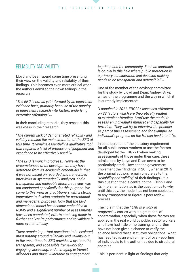## Reliability and validity

Lloyd and Dean spend some time presenting their view on the validity and reliability of their findings. This becomes even more critical when the authors admit to their own failings in the research:

*"The ERG is not as yet informed by an equivalent evidence base, primarily because of the paucity of equivalent research into factors underlying extremist offending."*��

In their concluding remarks, they reassert this weakness in their research:

*"The current lack of demonstrated reliability and validity remains the main limitation of the ERG at this time. It remains essentially a qualitative tool that requires a level of professional judgment and experience to be effectively used."*��

*"The ERG is work in progress… However, the circumstances of its development may have detracted from its academic credentials in that it was not based on recorded and transcribed interviews or systematically analyzed, and a transparent and replicable literature review was not conducted specifically for this purpose. We came to this work as practitioners with a strong imperative to develop products for correctional and managerial purposes. Now that the ERG dimensional model has become embedded in NOMS and a significant number of assessments have been completed, efforts are being made to further analyze its performance and to validate it more systematically.*

*There remain important questions to be explored, most notably around reliability and validity, but in the meantime the ERG provides a systematic, transparent, and accessible framework for engaging, assessing, and managing extremist offenders and those vulnerable to engagement* 

*in prison and the community. Such an approach is crucial in this field where public protection is a primary consideration and decision-making needs to be transparent and defensible."*��

One of the member of the advisory committee for the study by Lloyd and Dean, Andrew Silke, writes of the programme and the way in which it is currently implemented:

*"Launched in 2011, ERG22+ assesses offenders on 22 factors which are theoretically related to extremist offending. Staff use the model to assess an individual's mindset and capability for terrorism. They will try to interview the prisoner as part of this assessment, and for example, an*  individual's progress on the HII can feed into it."<sup>33</sup>

In consideration of the statutory requirement for all public sector workers to use the factors developed by the ERG22+ when making assessments of those under their care, these admissions by Lloyd and Dean seem to be particularly stark. How can the government implement their findings in 2011, when in 2015 the original authors remain unsure as to the, "*reliability and validity*," of their findings? It is this question that is central to the ERG22+ and its implementation, as is the question as to why until this day, the model has not been subjected to any transparent or rigorous peer review process.

Their claim that the, "*ERG is a work in progress*,"�� carries with it a great deal of consternation, especially when these factors are applied in the real world by public sector workers who have had little or no training, and further have not been given a chance to verify the science behind these statutory obligations. What has resulted is an environment of over-reporting of individuals to the authorities due to structural coercion.

This is pertinent in light of findings that only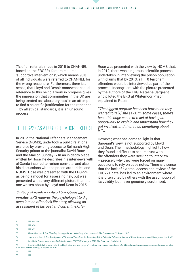7% of all referrals made in 2015 to CHANNEL based on the ERG22+ factors required 'supportive interventions', which means 93% of all individuals were referred to CHANNEL for the wrong reasons. 35 Furthermore, there is a sense, that Lloyd and Dean's somewhat casual reference to this being a work in progress gives the impression that communities in the UK are being treated as 'laboratory rats' in an attempt to find a scientific justification for their theories – by all ethical standards, it is an unsound process.

### The ERG22+ as a public relations exercise

In 2012, the National Offenders Management Service (NOMS), undertook a public relations exercise by providing access to Belmarsh High Security prison to the journalist David Rose and the Mail on Sunday.<sup>36</sup> In an in-depth piece written by Rose, he describes his interviews with al-Qaeda inspired terrorism convicts, and also his discussions with the prison authorities and NOMS. Rose was presented with the ERG22+ as being a model for assessing risk, but was presented with a very different picture than the one written about by Lloyd and Dean in 2015:

*"Built up through months of interviews with inmates, ERG requires the psychologist to dig deep into an offender's life story, allowing an assessment of his past and current risk…"*��

Rose was presented with the view by NOMS that, in 2012, there was a rigorous scientific process undertaken in interviewing the prison population, with claims that by 2013, all 110 terrorism offenders would be interviewed as part of the process. Incongruent with the picture presented by the authors of the ERG, Natasha Sargeant who piloted the ERG at Whitemoor Prison, explained to Rose:

*"'The biggest surprise has been how much they wanted to talk,' she says. 'In some cases, there's been this huge sense of relief at having an opportunity to explain and understand how they got involved, and then to do something about it.'"*��

However, what has come to light is that Sargeant's view is not supported by Lloyd and Dean. Their methodology highlights how they found it difficult to secure trust with the offenders they were seeking to interview – precisely why they were forced on many occasions to rely on case notes. There is a sense that the lack of external access and review of the ERG22+ data, has led to an environment where it is often cited by others with the assumption of its validity, but never genuinely scrutinised.

32 | Ibid, p.51

38 | Ibid

<sup>30 |</sup> Ibid, pp.47-48

<sup>31 |</sup> Ibid, p.50

<sup>33 |</sup> Silke A, *How can Anjem Choudary be stopped from radicalising other prisoners?*, The Conversation, 19 August 2016

<sup>34 |</sup> Lloyd M and Dean C, *The Development of Structured Guidelines for Assessing Risk in Extremist Offenders,* Journal of Threat Assessment and Management, 2015, p.51 35 | Ratcliffe R, *Teachers made one-third of referrals to PREVENT strategy in 2015*, The Guardian, 12 July 2016

<sup>36 |</sup> Rose D, Inside Britain's terror cells: A chilling insight into how gangs of convicted terrorists recruit prisoners for Al Qaeda - and the courageous men and women sent in to 'turn' them, Mail on Sunday, 29 September 2012

<sup>37 |</sup> Ibid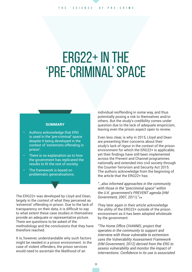#### The 'science' of pre-crime

# $ERG22+ IN THE$ 'pre-criminal' space

#### **SUMMARY**

- Authors acknowledge that ERG is used in the 'pre-criminal' space despite it being developed in the context of 'extremists offending in prison'.
- There is no explanation as to how the government has replicated the results to fit the rest of society.
- The framework is based on problematic generalisations.

The ERG22+ was developed by Lloyd and Dean, largely in the context of what they perceived as 'extremist' offending in prison. Due to the lack of transparency on their data, it is difficult to say to what extent these case studies in themselves provide an adequate or representative picture. There are questions to be asked of the methodology and the conclusions that they have therefore reached.

It is, however, understandable why such factors might be needed in a prison environment. In the case of violent offenders, the prison services would need to ascertain the likelihood of an

individual reoffending in some way, and thus potentially posing a risk to themselves and/or others. But the study's credibility comes under question due to the lack of adequate empiricism, leaving even the prison aspect open to review.

Even less clear, is why in 2015, Lloyd and Dean are presenting their concerns about their study's lack of rigour in the context of the prison environment for which the ERG22+ is applicable, yet their findings have still been implemented across the Prevent and Channel programmes nationally and extended into civil society through the Counter-Terrorism and Security Act 2015. The authors acknowledge from the beginning of the article that the ERG22+ has:

*"…also informed approaches in the community with those in the "precriminal space" within the U.K. government's PREVENT agenda (HM Government, 2007, 2011)."*��

They later again in their article acknowledge the utility of the ERG22+ outside of the prison environment as it has been adopted wholesale by the government:

*"The Home Office CHANNEL project that operates in the community to support and intervene with those vulnerable to extremism uses the Vulnerability Assessment Framework (HM Government, 2012) derived from the ERG to assess vulnerability and monitor the impact of interventions. Confidence in its use is associated*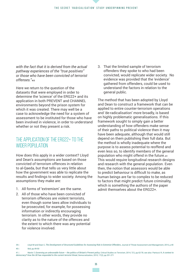*with the fact that it is derived from the actual pathway experiences of the "true positives" or those who have been convicted of terrorist offenses."*��

Here we return to the question of the datasets that were employed in order to determine the 'science' of the ERG22+ and its application in both PREVENT and CHANNEL environments beyond the prison system for which it was created. There may well be a case to acknowledge the need for a system of assessment to be instituted for those who have been involved in violence, in order to understand whether or not they present a risk.

## THE APPLICATION OF THE ERG22+ TO THE wider population

How does this apply in a wider context? Lloyd and Dean's assumptions are based on those convicted of terrorism offences in relation to al-Qaeda, but that tells us very little about how the government was able to replicate the results and findings to wider society. Among the assumptions they make are:

- 1. All forms of 'extremism' are the same.
- 2. All of those who have been convicted of terrorism offences are violent terrorists, even though some laws allow individuals to be prosecuted, for example, for possessing information or indirectly encouraging terrorism. In other words, they provide no clarity as to the nature of the offences and the extent to which there was any potential for violence involved.

3. That the limited sample of terrorism offenders they spoke to who had been convicted, would replicate wider society. No evidence was provided that the 'evidence' gathered from offenders, could be used to understand the factors in relation to the general public.

The method that has been adopted by Lloyd and Dean to construct a framework that can be applied to entire counter-terrorism operations and 'de-radicalisation' more broadly, is based on highly problematic generalisations. If this framework sought to simply gain a better understanding of how offenders make sense of their paths to political violence then it may have been adequate, although that would still depend on them publishing their full data. But the method is wholly inadequate where the purpose is to assess potential to reoffend and even less so, to identify members of the general population who might offend in the future.41 This would require longitudinal research designs and research with the general population. Even then, the notion that assessors would be able to predict behaviour is difficult to make, as human beings are far to complex to be reduced to factors that might predict future criminality, which is something the authors of the paper admit themselves about the FRG22+

41 | Martin T, *Governing an unknowable future – the politics of Britain's Prevent policy*, Critical Studies on Terrorism, 2014, 7(1), pp.62-78; see also: Pantucci R, *A contest to democracy? How the UK has responded to the current terrorist threat*, Democratization, 2010, 17(2), pp.251-271

<sup>39 |</sup> Lloyd M and Dean C, *The Development of Structured Guidelines for Assessing Risk in Extremist Offenders*, Journal of Threat Assessment and Management, 2015, p.40 40 | Ibid, pp.49-50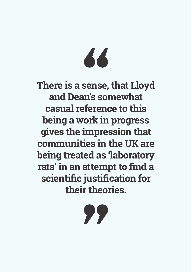# 66

**There is a sense, that Lloyd and Dean's somewhat casual reference to this being a work in progress gives the impression that communities in the UK are being treated as 'laboratory rats' in an attempt to find a scientific justification for their theories.**

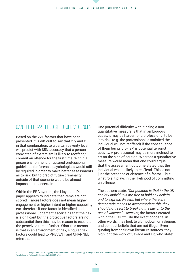## Can the ERG22+ predict future violence?

Based on the 22+ factors that have been presented, it is difficult to say that x, y and z, in that combination, to a certain severity level will predict with 85% accuracy that a person convicted of extremism is likely to reoffend/ commit an offence for the first time. Within a prison environment, structured professional guidelines for forensic psychologists would still be required in order to make better assessments as to risk, but to predict future criminality outside of that scenario would be almost impossible to ascertain.

Within the ERG system, the Lloyd and Dean paper appears to indicate that items are not scored – more factors does not mean higher engagement or higher intent or higher capability etc. therefore if one factor is identified and professional judgement ascertains that the risk is significant but the protective factors are not substantial then this may be reason to escalate the perceived threat further. What this means is that in an environment of risk, singular risk factors could lead to PREVENT and CHANNEL referrals.

One potential difficulty with it being a nonquantitative measure is that in ambiguous cases, it may be harder for a professional to be 'pro-risk' (e.g. the professional is satisfied the individual will not reoffend) if the consequence of them being 'pro-risk' is potential terrorist activity. A professional may be more inclined to err on the side of caution. Whereas a quantitative measure would mean that one could argue that the assessment outcome stated that the individual was unlikely to reoffend. This is not just the presence or absence of a factor  $-$  but what role it plays in the likelihood of committing an offence.

The authors state, "*Our position is that in the UK society individuals are free to hold any beliefs and to express dissent, but where there are democratic means to accommodate this they should not resort to breaking the law or to the use of violence*". However, the factors created within the ERG 22+ do the exact opposite; in other words, they look to clampdown on religious and political beliefs that are not illegal. Even quoting from their own literature sources, they highlight the work of Savage and Lit, who state: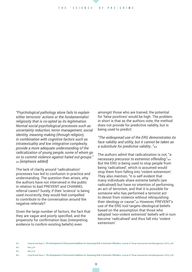*"Psychological pathology alone fails to explain either terrorists' actions or the fundamentalist religiosity that is co-opted as its legitimation. Normal social psychological processes such as uncertainty reduction, terror management, social identity, meaning making (through religion), in combination with cognitive factors such as intratextuality and low integrative complexity, provide a more adequate understanding of the radicalization of young people, some of whom go on to commit violence against hated out-groups."*  �� *[emphasis added]*

The lack of clarity around 'radicalisation' processes has led to confusion in practice and understanding. The question then arises, why the authors have not intervened in the public in relation to bad PREVENT and CHANNEL referral cases? Surely, if their 'science' is being used incorrectly, they would feel compelled to contribute to the conversation around the negative referrals?

Given the large number of factors, the fact that they are vague and poorly specified, and the propensity for confirmation bias (interpreting evidence to confirm existing beliefs) even

amongst those who are trained, the potential for 'false positives' would be high. The problem in short is that as the authors note, the method does not provide for predictive validity, but is being used to predict:

*"The widespread use of the ERG demonstrates its face validity and utility, but it cannot be taken as a substitute for predictive validity…"*��

The authors admit that radicalisation is not, "*a necessary precursor to extremist offending*."�� But the ERG is being used to stop people from being 'radicalised', which is assumed would stop them from falling into 'violent extremism'. They also mention, "it is self evident that many individuals share extreme beliefs (are radicalised) but have no intention of performing an act of terrorism, and that it is possible for someone who has performed a terrorist act to desist from violence without relinquishing their ideology or cause." 45 However, PREVENT's use of the ERG tool targets ideological beliefs based on the assumption that those who adopted 'non-violent extremist' beliefs will in turn become 'radicalised' and thus fall into 'violent extremism'.

- 45 | Ibid, p.41
- 
- 46 | Lloyd M and Dean C, *The Development of Structured Guidelines for Assessing Risk in Extremist Offenders,* Journal of Threat Assessment and Management, 2015, p.49

<sup>44 |</sup> Ibid, p.41 43 | Lloyd M and Dean C, *The Development of Structured Guidelines for Assessing Risk in Extremist Offenders,* Journal of Threat Assessment and Management, 2015, p.50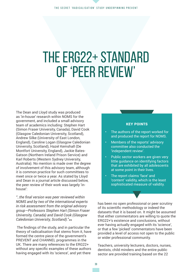# The ERG22+ standard of 'peer review'

The Dean and Lloyd study was produced as 'in-house' research within NOMS for the government, and included a small advisory team of academics including: Stephen Hart (Simon Fraser University, Canada), David Cook (Glasgow Caledonian University, Scotland), Andrew Silke (University of East London, England), Caroline Logan (Glasgow Caledonian University, Scotland), Hazel Kemshall (De Montfort University, England), Jackie Bates-Gatson (Northern Ireland Prison Service) and Karl Roberts (Western Sydney University, Australia). No mention is made over the degree of involvement of this advisory team, although it is common practice for such committees to meet once or twice a year. As stated by Lloyd and Dean in a journal article discussed below, the peer review of their work was largely 'inhouse':

*"..the final version was peer reviewed within NOMS and by two of the international experts in risk assessment from the original advisory group—Professors Stephen Hart (Simon Fraser University, Canada) and David Cook (Glasgow Caledonian University, Scotland)."*��

 The findings of the study, and in particular the theory of radicalisation that stems from it, have formed the centre piece of the government's PREVENT and CHANNEL programmes in the UK. There are many references to the ERG22+ without any specific examples of these authors having engaged with its 'science', and yet there

#### KEY POINTS

- The authors of the report worked for and produced the report for NOMS.
- Members of the reports' advisory committee also conducted the 'independent review'.
- Public sector workers are given very little guidance on identifying factors that are exhibited by all adolescents at some point in their lives.
- The report claims 'face' and 'content' validity, which is the least sophisticated measure of validity.

has been no open professional or peer scrutiny of its scientific methodology or indeed the datasets that it is based on. It might be assumed that either commentators are willing to quote the ERG22+'s existence and conclusions, without ever having actually engaged with its 'science', or that a few 'picked' commentators have been provided a level of access not open to the public or wider professional community.

Teachers, university lecturers, doctors, nurses, dentists, child minders and the entire public sector are provided training based on the 22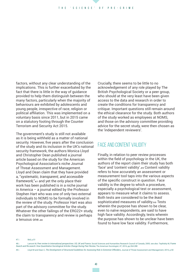factors, without any clear understanding of the implications. This is further exacerbated by the fact that there is little in the way of guidance provided to help them distinguish between the many factors, particularly when the majority of behaviours are exhibited by adolescents and young people, irrespective of race, religion or political affiliation. This was implemented on a voluntary basis since 2011, but in 2015 came on a statutory footing through the Counter Terrorism and Security Act 2015.

The government's study is still not available as it is being withheld as a matter of national security. However, five years after the conclusion of the study and its inclusion in the UK's national security framework, the authors Monica Lloyd and Christopher Dean published a journal article based on the study for the American Psychological Association's niche Journal of Threat Assessment and Management. Lloyd and Dean claim that they have provided a, "*systematic, transparent, and accessible framework*,"<sub>47</sub> and yet the only place their work has been published is in a niche journal in America – a journal edited by the Professor Stephen Hart who was one of only two external individuals to NOMS to be formally involved in the review of the study. Professor Hart was also part of the advisory committee for the study. Whatever the other failings of the ERG22+ study, the claim to transparency and review is perhaps a tenuous one 48

Crucially, there seems to be little to no acknowledgement of any role played by The British Psychological Society or a peer group, who should at the very least have been given access to the data and research in order to create the conditions for transparency and critique. Important questions still remain around the ethical clearance for the study. Both authors of the study worked as employees at NOMS, and those on the advisory committee providing advice for the secret study, were then chosen as the 'independent reviewers'.

### Face and content validity

Finally, in relation to peer review processes within the field of psychology in the UK, the authors of the report claim their study has both 'face' and 'content validity'.�� Content validity refers to how accurately an assessment or measurement tool taps into the various aspects of the specific construct in question. Face validity is the degree to which a procedure, especially a psychological test or assessment, appears to measure what it claims to assess. Both tests are considered to be the *least* sophisticated measures of validity.<sub>50</sub> Tests wherein the purpose has shown to be clear, even to naïve respondents, are said to have high face validity. Accordingly, tests wherein the purpose has shown to be unclear have been found to have low face validity. Furthermore,

47 | Ibid, p.51

<sup>48 |</sup> Lamont M, *Peer review in international perspectives: US, UK and France*, Social Sciences and Humanities Research Council of Canada, 2005; see also: Teplitskiy M, *Frame Search and Re-search: How Quantitative Sociological Articles Change During Peer Review,* The American Sociologist, 47, 2016, pp.264-288

<sup>49 |</sup> Lloyd M and Dean C, *The Development of Structured Guidelines for Assessing Risk in Extremist Offenders*, Journal of Threat Assessment and Management, 2015, p.50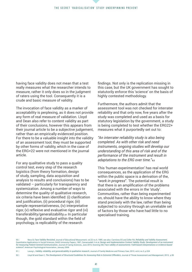having face validity does not mean that a test really measures what the researcher intends to measure, rather it only does so in the judgment of raters using the tool. Consequently it is a crude and basic measure of validity.

The invocation of face validity as a marker of acceptability is perplexing, as it does not provide any form of real measure of validation. Lloyd and Dean also refer to content validity as part of their conclusions, however this appears from their journal article to be a subjective judgement, rather than an empirically evidenced position. For there to be a valuable insight into the validity of an assessment tool, they must be supported by other forms of validity, which in the case of the ERG+22 were not mentioned in the journal article.

For any qualitative study to pass a quality control test, every step of the research logistics (from theory formation, design of study, sampling, data acquisition and analysis to results and conclusions) has to be validated – particularly for transparency and systemization. Among a number of ways to determine the quality of qualitative research, six criteria have been identified: (i) clarification and justification, (ii) procedural rigor, (iii) sample representativeness, (iv) interpretative rigor, (v) reflexive and evaluative rigor and (vi) transferability/generalizability.<sub>51</sub> In particular though, the gold standard within the field of psychology, is replicability of the research

findings. Not only is the replication missing in this case, but the UK government has sought to statutorily enforce this 'science' on the basis of highly contested methodology.

Furthermore, the authors admit that the assessment tool was not checked for interrater reliability and that only now, five years after the study was completed and used as a basis for statutory legislation by the government, a study is being completed to test whether the ERG22+ measures what it purportedly set out to:

*"An interrater reliability study is also being completed. As with other risk and need instruments, ongoing studies will develop our understanding of this area of risk and of the performance of the instrument and result in adaptations to the ERG over time."*��

This 'human experimentation' has real world consequences, as the application of the ERG within the public space is a derivation of the, "*work in progress*". The potential result is that there is an amplification of the problems associated with the errors in the 'study'. Communities, rather than being experimented on, should have the ability to know where they stand precisely with the law, rather than being subjected to scrutiny through an unreliable set of factors by those who have had little to no specialised training.

<sup>50 |</sup> Nevo B, *Face Validity Revisited*, Journal of Educational Measurment, vol.22 no.4, 1985; see also: Carmines EG and Zeller RA, *Reliability and Validity Assessment*, Quantitative Applications in Social Sciences, SAGE University Papers, 1987; Zamanzadeh V et al, *Design and Implementation Content Validity Study: Development of an instrument for measuring Patient-Centred Communication,* Journal of Caring Sciences, June 2015; Downing SM, *Face validity of assessments: Faith-based interpretations or evidence-based science?*, American Psychological Association, January 2006

<sup>51 |</sup> Leung L, *Validity, reliability, and generalizability in qualitative research*, Journal of Family Medicine and Primary Care, 2015, vol.4, no.3, p.324

<sup>52 |</sup> Lloyd M and Dean C, *The Development of Structured Guidelines for Assessing Risk in Extremist Offenders*, Journal of Threat Assessment and Management, 2015, p.50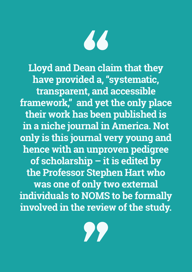

**Lloyd and Dean claim that they have provided a, "systematic, transparent, and accessible framework," and yet the only place their work has been published is in a niche journal in America. Not only is this journal very young and hence with an unproven pedigree of scholarship – it is edited by the Professor Stephen Hart who was one of only two external individuals to NOMS to be formally involved in the review of the study.**

77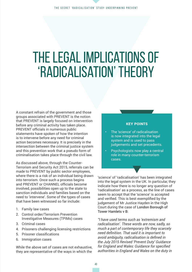# The legal implications of 'radicalisation' theory

A constant refrain of the government and those groups associated with PREVENT is the notion that PREVENT is largely focused on intervention before any criminal activity has taken place. PREVENT officials in numerous public statements have spoken of how the intention is to intervene before any need for criminal action becomes necessary. It is precisely in the intersection between the criminal justice system and this prevention work that a pseudo form of criminalisation takes place through the civil law.

As discussed above, through the Counter-Terrorism and Security Act 2015, referrals can be made to PREVENT by public sector employees, where there is a risk of an individual being drawn into terrorism. Once such a process begins and PREVENT or CHANNEL officials become involved, possibilities open up to the state to sanction individuals and families based on the need to 'intervene'. Some of the types of cases that have been witnessed so far include:

- 1. Family law cases
- 2. Control order/Terrorism Prevention Investigative Measures (TPIMs) cases
- 3. Criminal cases
- 4. Prisoners challenging licensing restrictions
- 5. Prisoner classifications
- 6. Immigration cases

While the above set of cases are not exhaustive, they are representative of the ways in which the

#### KEY POINTS

- The 'science' of radicalisation is now integrated into the legal system and is used to pass judgements and set precedents.
- Psychologists now play a central role in many counter-terrorism cases.

'science' of 'radicalisation' has been integrated into the legal system in the UK. In particular, they indicate how there is no longer any question of 'radicalisation' as a process, as the line of cases seem to accept that the 'science' is accepted and verified. This is best exemplified by the judgement of Mr Justice Hayden in the High Court during the case of London Borough of Tower Hamlets v B:

*"I have used terms such as 'extremism and radicalisation'. These words are now, sadly, so much a part of contemporary life they scarcely need definition. That said it is important to avoid ambiguity, radicalisation is defined in the July 2015 Revised 'Prevent Duty' Guidance for England and Wales: Guidance for specified authorities in England and Wales on the duty in*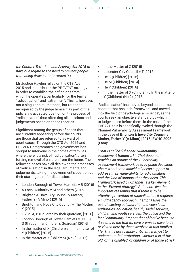*the Counter-Terrorism and Security Act 2015 to have due regard to the need to prevent people from being drawn into terrorism."*��

Mr Justice Hayden relies on the CTS Act 2015 and in particular the PREVENT strategy in order to establish the definitions from which he operates, particularly for the terms 'radicalisation' and 'extremism'. This is, however, not a singular circumstance, but rather as recognised by the judge himself, as part of the judiciary's accepted position on the process of 'radicalisation' thus affec ting all decisions and judgements based on those theories.

Significant among the genus of cases that are currently appearing before the courts, are those that are referred to as ward of court cases. Through the CTS Act 2015 and PREVENT programmes, the government has sought to intervene in the homes of families where there is a risk of 'radicalisation', often forcing removal of children from the home. The following cases have all dealt with the processes of 'radicalisation' in the legal arguments and judgements, taking the government's position as their starting point for discussion:

- London Borough of Tower Hamlets v B [2016]
- A Local Authority v M and others [2016]
- Brighton & Hove City Council v Mother, Father, Y (A Minor) [2015]
- Brighton and Hove City Council v The Mother, Y [2015]
- F v M, A, B (Children by their guardian) [2016]
- London Borough of Tower Hamlets v JD, LD, S (through her Children's Guardian) [2015]
- In the matter of X (Children) v In the matter of Y (Children) [2015]
- In the matter of X (Children) (No 3) [2015]
- In the Matter of Z [2015]
- Leicester City Council v T [2016]
- Re K (Children) [2016]
- Re M (Children) [2014]
- Re Y (Children) [2016]
- In the matter of X (Children) v In the matter of Y (Children) (No 2) [2015]

'Radicalisation' has moved beyond an abstract concept that has little framework, and moved into the field of psychological 'science', as the courts seek an objective standard by which to judge cases before them. In the case of the ERG22+, this is specifically evoked through the Channel Vulnerability Assessment Framework in the case of **Brighton & hove City Council v Mother, Father, Y (A Minor) [2015] EWHC 2098 (Fam)**:

*"That is called "Channel: Vulnerability assessment framework". That document provides an outline of the vulnerability assessment framework used to guide decisions about whether an individual needs support to address their vulnerability to radicalisation and the kind of support that they need. This Framework, used by Channel, is a key element in the "Prevent strategy". At its core lies the important reasoning that if there is to be effective prevention of radicalisation, it requires a multi-agency approach. It emphasises the use of existing collaboration between local authorities, education, health, social services, children and youth services, the police and the local community. I repeat that objective because it seems to me that its core premises have to be re-visited here by those involved in this family's life. That is not to imply criticism; it is just to underscore that protection, whether it is of the old, of the disabled, of children or of those at risk*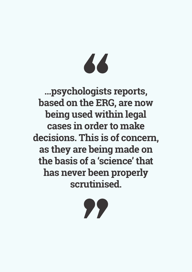# 66

**…psychologists reports, based on the ERG, are now being used within legal cases in order to make decisions. This is of concern, as they are being made on the basis of a 'science' that has never been properly scrutinised.**

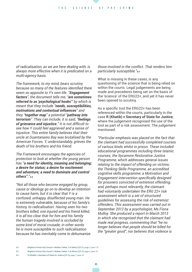*of radicalisation, as we are here dealing with, is always more effective when it is predicated on a multi-agency basis.*

*The framework, to my mind, bears scrutiny because so many of the features identified there seem so apposite to Y's own life. "Engagement factors", the document tells me, "are sometimes referred to as 'psychological hooks'" by which is meant that they include "needs, susceptibilities, motivations and contextual influences" and they "together map" a potential "pathway into terrorism". They can include, it is said, "feelings of grievance and injustice." It is not difficult to see how Y could feel aggrieved and a sense of injustice. This entire family believes that their uncle at Guantanamo Bay was brutalised by the American Forces. Y, understandably, grieves the death of his brothers and his friend.*

*The Framework encourages the agencies of protection to look at whether the young person has "a need for identity, meaning and belonging; a desire for status; a desire for excitement and adventure; a need to dominate and control others"."*��

*"Not all those who become engaged by group, cause or ideology go on to develop an intention to cause harm, but it is clear that Y is a confused, unhappy, disaffected young man. He is extremely vulnerable, because of his family's history, to radicalisation. Having seen his two brothers killed, one injured and his friend killed, it is all too clear that for him and his family the human tragedy involved is occluded by some kind of moral crusade; in other words he is more susceptible to such radicalisation because he has inevitably come to dehumanise* 

#### *those involved in the conflict. That renders him particularly susceptible."*��

What is missing in these cases, is any questioning of the science that is being relied on within the courts. Legal judgements are being made and precedents being set on the basis of the 'science' of the ERG22+, and yet it has never been opened to scrutiny.

As a specific tool the ERG22+ has been referenced within the courts, particularly in the case **R (Khatib) v Secretary of State for Justice**, where the judgement recognised the use of the tool as part of a risk assessment. The judgement mentioned:

*"Particular emphasis was placed on the fact that the claimant had successfully completed courses of various kinds whilst in prison. These included: educational programmes including three Islamic courses; the Sycamore Restorative Justice Programme, which addresses general issues relating to the impact of offending on victims; the Thinking Skills Programme, an accredited cognitive skills programme; a Motivation and Engagement intervention specifically designed for prisoners convicted of extremist offending; and, perhaps most relevantly, the claimant had voluntarily undertaken the ERG 22+ risk assessment which is a set of structured guidelines for assessing the risk of extremist offenders. This assessment was carried out in September 2012 by a psychologist, Ms Fiona Mulloy. She produced a report in March 2013 in which she recognised that the claimant had made real progress, commenting that "he no longer believes that people should be killed for the "greater good", nor believes that violence is* 

55 | Brighton & Hove City Council v Mother, Father, Y (A Minor) [2015], page 2, para 10

<sup>54 |</sup> Brighton & Hove City Council v Mother, Father, Y (A Minor) [2015], page 2, para 7-9

<sup>56 |</sup> R (Khatib) v Secretary of State for Justice [2015], page 7, para 32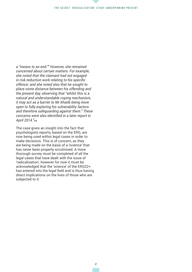*a "means to an end."" However, she remained concerned about certain matters. For example, she noted that the claimant had not engaged in risk reduction work relating to his specific offence; and she noted also that he sought to place some distance between his offending and the present day, observing that "whilst this is a natural and understandable coping mechanism, it may act as a barrier to Mr Khatib being more open to fully exploring his vulnerability factors and therefore safeguarding against them." These concerns were also identified in a later report in April 2014."*��

The case gives an insight into the fact that psychologists reports, based on the ERG, are now being used within legal cases in order to make decisions. This is of concern, as they are being made on the basis of a 'science' that has never been properly scrutinised. A more thorough survey must be completed of all the legal cases that have dealt with the issue of 'radicalisation', however for now it must be acknowledged that the 'science' of the ERG22+ has entered into the legal field and is thus having direct implications on the lives of those who are subjected to it.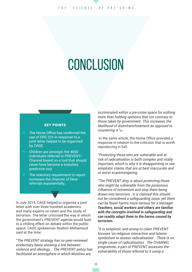# **CONCLUSION**

#### KEY POINTS

- The Home Office has confirmed the use of ERG 22+ in response to a joint letter helped to be organised by CAGE.
- Children are amongst the 4000 individuals referred to PREVENT/ Channel based on a tool that should never have become a statutory predictive tool.
- The statutory requirement to report increases the chances of false referrals exponentially.

In July 2015, CAGE helped to organise a joint letter with over three hundred academics and many experts on Islam and the study of terrorism. The letter criticised the way in which the government's PREVENT agenda would lead to a chilling effect on debate within the public space. CAGE spokesman Ibrahim Mohamoud said at the time:

*"The PREVENT strategy has no peer-reviewed evidentiary basis showing a link between violence and ideology... The PREVENT policy has facilitated an atmosphere in which Muslims are* 

*incriminated within a pre-crime space for nothing more than holding opinions that run contrary to those taken by government. This increases the likelihood of disenfranchisement as opposed to countering it."*��

 In the same article, the Home Office provided a response in relation to the criticism that is worth reproducing in full:

*"Protecting those who are vulnerable and at risk of radicalisation is both complex and vitally important, which is why it is disappointing to see simplistic claims that are at best inaccurate and at worst scaremongering.* 

*"The PREVENT duty is about protecting those who might be vulnerable from the poisonous influence of extremism and stop them being drawn into terrorism. It is claimed this should not be considered a safeguarding issue, yet there can be fewer harms more serious for a teenager. Teachers, social workers and others are familiar with the concepts involved in safeguarding and can readily adapt them to the harms caused by terrorism.*

*"It is simplistic and wrong to claim PREVENT focuses 'on religious interaction and Islamic symbolism to assess radicalisation'. There is no single cause of radicalisation. The CHANNEL programme, a part of PREVENT, assesses the vulnerability of those referred to it using a*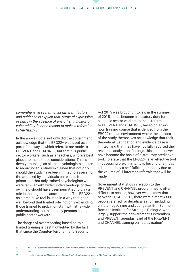*comprehensive system of 22 different factors and guidance is explicit that 'outward expression of faith, in the absence of any other indicator of vulnerability, is not a reason to make a referral to*  CHANNEL'"<sub>58</sub>

In the above quote, not only did the government acknowledge that the ERG22+ was used as a part of the way in which referrals are made to PREVENT and CHANNEL, but that it is public sector workers, such as a teachers, who are best placed to make those considerations. This is deeply troubling, as all the psychologists spoken to regarding this study explained that not only should the study have been limited to assessing threat posed by individuals on release from prison, but that only trained psychologists who were familiar with wider understandings of their own field should have been permitted to play a role in making those assessments. The ERG22+, as a predictive tool is used in a way that goes well beyond that limited role, not only expanding those trained to probation staff with little wider understanding, but also to lay persons such a public sector workers.

The danger of over reporting based on this limited training is best highlighted by the fact that since the Counter-Terrorism and Security

Act 2015 was brought into law in the summer of 2015, it has become a statutory duty for all public sector workers to make referrals to PREVENT and CHANNEL, based on a twohour training course that is derived from the ERG22+. In an environment where the authors of the study themselves acknowledge that their theoretical justification and evidence base is limited, and that they have not fully reported their research, analysis or findings, this should never have become the basis of a statutory predictive tool. To state that the ERG22+ is an effective tool in assessing pre-criminality is beyond unethical, it is potentially a self-fulfilling prophecy due to the volume of ill-informed referrals that will be made.

Government statistics in relation to the PREVENT and CHANNEL programmes is often difficult to access, however we do know that between  $2014 - 2015$ , there were almost 4,000 people referred for deradicalisation, including children aged nine and younger.�� Erin Saltman, from the Institute for Strategic Dialogue, who largely support their government's extremism and PREVENT agendas, said of the PREVENT and CHANNEL training on 'radicalisation',

58 | Ibid

<sup>57 |</sup> Verkaik R, *Government deradicalisation plan will brand Muslims with beards as terrorists, say academics,* The Independent, 10 July 2015

<sup>59 |</sup> Halliday J, *Almost 4,000 people referred to UK deradicalisation scheme last year,* The Guardian, 20 March 2016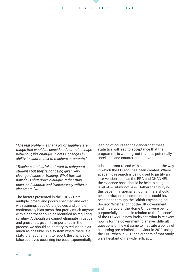*"The real problem is that a lot of signifiers are things that would be considered normal teenage behaviour, like changes in dress, changes in ability to want to talk to teachers or parents,"* 

*"Teachers are fearful and want to safeguard students but they're not being given very clear guidelines or training. What this will now do is shut down dialogue, rather than open up discourse and transparency within a classroom."*��

The factors presented in the ERG22+ are multiple, broad, and poorly specified and even with training, people's prejudices and simple confirmatory bias mean that pretty much anyone with a heartbeat could be identified as requiring scrutiny. Although we cannot eliminate injustice and grievance, given its importance in the process we should at least try to reduce this as much as possible. In a system where there is a statutory requirement to report, the chances of false positives occurring increase exponentially,

leading of course to the danger that these statistics will lead to acceptance that the programme is working, not that it is potentially unreliable and counter-productive.

It is important to end with a point about the way in which the ERG22+ has been created. Where academic research is being used to justify an intervention such as the ERG and CHANNEL, the evidence base should be held to a higher level of scrutiny, not less. Rather than burying this paper in a specialist journal there should be an invitation to comment - this could have been done through the British Psychological Society. Whether or not the UK government and in particular the Home Office were being purposefully opaque in relation to the 'science' of the ERG22+ is now irrelevant, what is relevant now is for the government to answer difficult questions on how it came to institute a policy of assessing pre-criminal behaviour in 2011 using the ERG, when in 2015 the authors of that study were hesitant of its wider efficacy.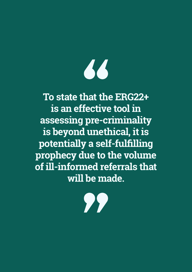# 66

**To state that the ERG22+ is an effective tool in assessing pre-criminality is beyond unethical, it is potentially a self-fulfilling prophecy due to the volume of ill-informed referrals that will be made.**

77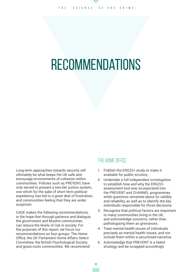# **RECOMMENDATIONS**

Long-term approaches towards security will ultimately be what keeps the UK safe and encourage environments of cohesion within communities. Policies such as PREVENT, have only served to present a two-tier justice system, one which for the sake of short term political expediency, has led to a great deal of frustration, and communities feeling that they are under suspicion.

CAGE makes the following recommendations, in the hope that through patience and dialogue, the government and Muslim communities can reduce the levels of risk in society. For the purposes of this report, we focus our recommendations on four groups: The Home Office, the UK Parliament Home Affairs Select Committee, the British Psychological Society and grass-roots communities. We recommend:

## The Home Office

- 1. Publish the ERG22+ study to make it available for public scrutiny.
- 2. Undertake a full independent investigation to establish how and why the ERG22+ assessment tool was incorporated into the PREVENT and CHANNEL programmes while questions remained about its validity and reliability, as well as to identify the key individuals responsible for those decisions.
- 3. Recognise that political factors are important to many communities living in the UK, and acknowledge concerns, rather than pathologising them as grievances.
- 4. Treat mental health issues of individuals precisely as mental health issues, and not include them within a securitised narrative.
- 5. Acknowledge that PREVENT is a failed strategy, and be scrapped accordingly.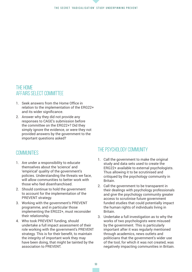#### The secret 'radicalisation' study underpinning PREVENT

## The Home AFFAIRS SELECT COMMITTEE

- 1. Seek answers from the Home Office in relation to the implementation of the ERG22+ and its wider significance.
- 2. Answer why they did not provide any responses to CAGE's submission before the committee on the ERG22+? Did they simply ignore the evidence, or were they not provided answers by the government to the important questions asked?

### **COMMUNITIES**

- 1. Are under a responsibility to educate themselves about the 'science' and 'empirical' quality of the government's policies. Understanding the threats we face, will allow communities to better work with those who feel disenfranchised.
- 2. Should continue to hold the government to account for the implementation of the PREVENT strategy.
- 3. Working with the government's PREVENT programme, and in particular those implementing the ERG22+, must reconsider their relationship.
- 4. Who took PREVENT funding, should undertake a full impact assessment of their role working with the government's PREVENT strategy. This is for their benefit, to maintain the integrity of important work they may have been doing, that might be tainted by the association to PREVENT.

### THE PSYCHOLOGY COMMUNITY

- 1. Call the government to make the original study and data sets used to create the ERG22+ available to external psychologists. Thus allowing it to be scrutinised and critiqued by the psychology community in Britain.
- 2. Call the government to be transparent in their dealings with psychology professionals and give the psychology community greater access to scrutinise future government funded studies that could potentially impact the human rights of individuals living in Britain.
- 3. Undertake a full investigation as to why the works of two psychologists were misused by the government. This is particularly important after it was regularly mentioned through academics, news outlets and politicians that the government's wider use of the tool, for which it was not created, was negatively impacting communities in Britain.